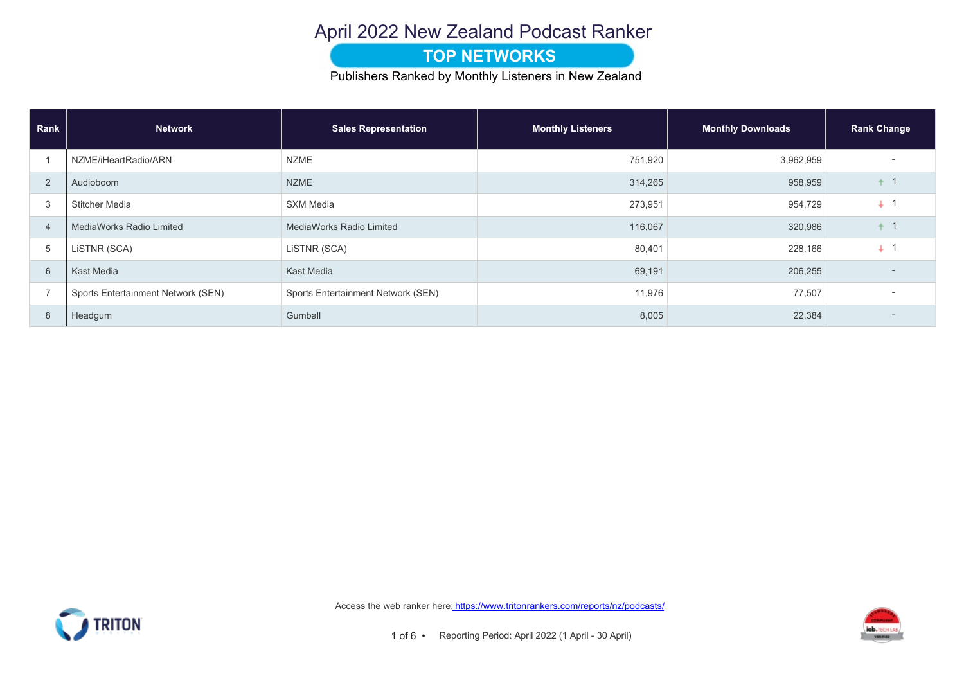### April 2022 New Zealand Podcast Ranker

#### **TOP NETWORKS**

Publishers Ranked by Monthly Listeners in New Zealand

| Rank           | <b>Network</b>                     | <b>Sales Representation</b>        | <b>Monthly Listeners</b> | <b>Monthly Downloads</b> | <b>Rank Change</b> |
|----------------|------------------------------------|------------------------------------|--------------------------|--------------------------|--------------------|
|                | NZME/iHeartRadio/ARN               | <b>NZME</b>                        | 751,920                  | 3,962,959                |                    |
| $\overline{2}$ | Audioboom                          | <b>NZME</b>                        | 314,265                  | 958,959                  |                    |
| 3              | Stitcher Media                     | <b>SXM Media</b>                   | 273,951                  | 954,729                  | $+$                |
| $\overline{4}$ | <b>MediaWorks Radio Limited</b>    | <b>MediaWorks Radio Limited</b>    | 116,067                  | 320,986                  |                    |
| 5              | LISTNR (SCA)                       | LISTNR (SCA)                       | 80,401                   | 228,166                  | ÷                  |
| 6              | Kast Media                         | Kast Media                         | 69,191                   | 206,255                  | $\overline{a}$     |
| $\overline{ }$ | Sports Entertainment Network (SEN) | Sports Entertainment Network (SEN) | 11,976                   | 77,507                   |                    |
| 8              | Headgum                            | Gumball                            | 8,005                    | 22,384                   |                    |



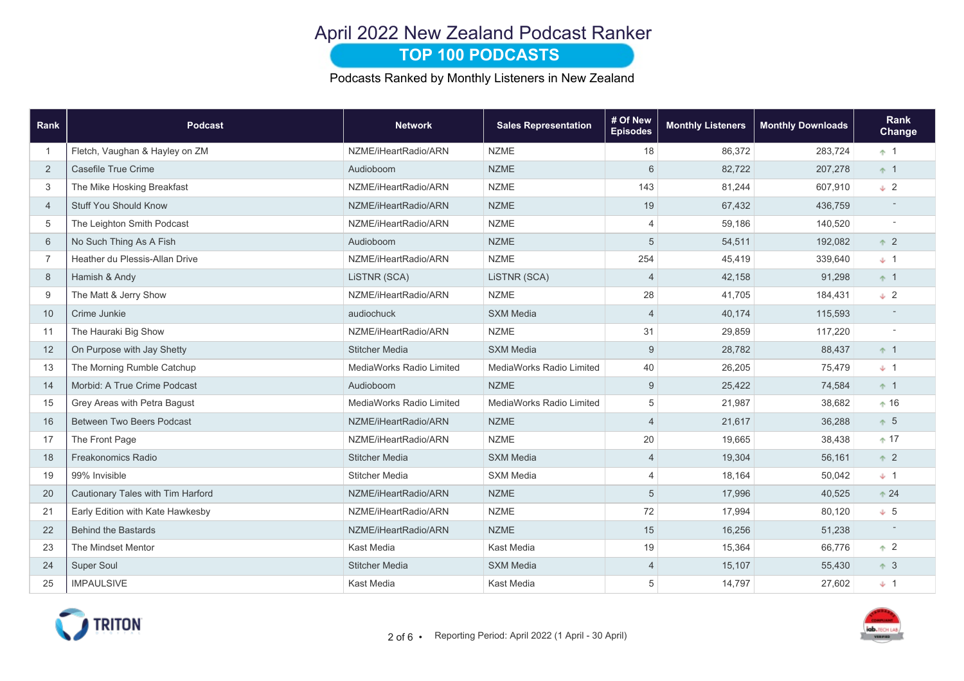# April 2022 New Zealand Podcast Ranker

### **TOP 100 PODCASTS**

Podcasts Ranked by Monthly Listeners in New Zealand

| Rank           | <b>Podcast</b>                    | <b>Network</b>           | <b>Sales Representation</b> | # Of New<br><b>Episodes</b> | <b>Monthly Listeners</b> | <b>Monthly Downloads</b> | <b>Rank</b><br>Change    |
|----------------|-----------------------------------|--------------------------|-----------------------------|-----------------------------|--------------------------|--------------------------|--------------------------|
| $\overline{1}$ | Fletch, Vaughan & Hayley on ZM    | NZME/iHeartRadio/ARN     | <b>NZME</b>                 | 18                          | 86,372                   | 283,724                  | $+1$                     |
| 2              | Casefile True Crime               | Audioboom                | <b>NZME</b>                 | 6                           | 82,722                   | 207,278                  | $+1$                     |
| 3              | The Mike Hosking Breakfast        | NZME/iHeartRadio/ARN     | <b>NZME</b>                 | 143                         | 81,244                   | 607,910                  | $\downarrow$ 2           |
| $\overline{4}$ | <b>Stuff You Should Know</b>      | NZME/iHeartRadio/ARN     | <b>NZME</b>                 | 19                          | 67,432                   | 436,759                  |                          |
| 5              | The Leighton Smith Podcast        | NZME/iHeartRadio/ARN     | <b>NZME</b>                 | $\overline{4}$              | 59,186                   | 140,520                  |                          |
| 6              | No Such Thing As A Fish           | Audioboom                | <b>NZME</b>                 | 5                           | 54,511                   | 192,082                  | $+2$                     |
| $\overline{7}$ | Heather du Plessis-Allan Drive    | NZME/iHeartRadio/ARN     | <b>NZME</b>                 | 254                         | 45,419                   | 339,640                  | $+1$                     |
| 8              | Hamish & Andy                     | LISTNR (SCA)             | LISTNR (SCA)                | $\overline{4}$              | 42,158                   | 91,298                   | $+1$                     |
| 9              | The Matt & Jerry Show             | NZME/iHeartRadio/ARN     | <b>NZME</b>                 | 28                          | 41,705                   | 184,431                  | $\downarrow$ 2           |
| 10             | Crime Junkie                      | audiochuck               | <b>SXM Media</b>            | $\overline{4}$              | 40,174                   | 115,593                  |                          |
| 11             | The Hauraki Big Show              | NZME/iHeartRadio/ARN     | <b>NZME</b>                 | 31                          | 29,859                   | 117,220                  | $\overline{\phantom{a}}$ |
| 12             | On Purpose with Jay Shetty        | <b>Stitcher Media</b>    | <b>SXM Media</b>            | $9\,$                       | 28,782                   | 88,437                   | $+1$                     |
| 13             | The Morning Rumble Catchup        | MediaWorks Radio Limited | MediaWorks Radio Limited    | 40                          | 26,205                   | 75,479                   | $+1$                     |
| 14             | Morbid: A True Crime Podcast      | Audioboom                | <b>NZME</b>                 | 9                           | 25,422                   | 74,584                   | $+1$                     |
| 15             | Grey Areas with Petra Bagust      | MediaWorks Radio Limited | MediaWorks Radio Limited    | $\sqrt{5}$                  | 21,987                   | 38,682                   | $+16$                    |
| 16             | <b>Between Two Beers Podcast</b>  | NZME/iHeartRadio/ARN     | <b>NZME</b>                 | $\overline{4}$              | 21,617                   | 36,288                   | $+5$                     |
| 17             | The Front Page                    | NZME/iHeartRadio/ARN     | <b>NZME</b>                 | 20                          | 19,665                   | 38,438                   | $+17$                    |
| 18             | Freakonomics Radio                | <b>Stitcher Media</b>    | <b>SXM Media</b>            | $\overline{4}$              | 19,304                   | 56,161                   | $+2$                     |
| 19             | 99% Invisible                     | <b>Stitcher Media</b>    | <b>SXM Media</b>            | $\overline{4}$              | 18,164                   | 50,042                   | $+1$                     |
| 20             | Cautionary Tales with Tim Harford | NZME/iHeartRadio/ARN     | <b>NZME</b>                 | 5                           | 17,996                   | 40,525                   | $+24$                    |
| 21             | Early Edition with Kate Hawkesby  | NZME/iHeartRadio/ARN     | <b>NZME</b>                 | 72                          | 17,994                   | 80,120                   | $+ 5$                    |
| 22             | <b>Behind the Bastards</b>        | NZME/iHeartRadio/ARN     | <b>NZME</b>                 | 15                          | 16,256                   | 51,238                   |                          |
| 23             | The Mindset Mentor                | Kast Media               | Kast Media                  | 19                          | 15,364                   | 66,776                   | $+2$                     |
| 24             | <b>Super Soul</b>                 | <b>Stitcher Media</b>    | <b>SXM Media</b>            | $\overline{4}$              | 15,107                   | 55,430                   | $+3$                     |
| 25             | <b>IMPAULSIVE</b>                 | Kast Media               | <b>Kast Media</b>           | 5                           | 14,797                   | 27,602                   | $+1$                     |

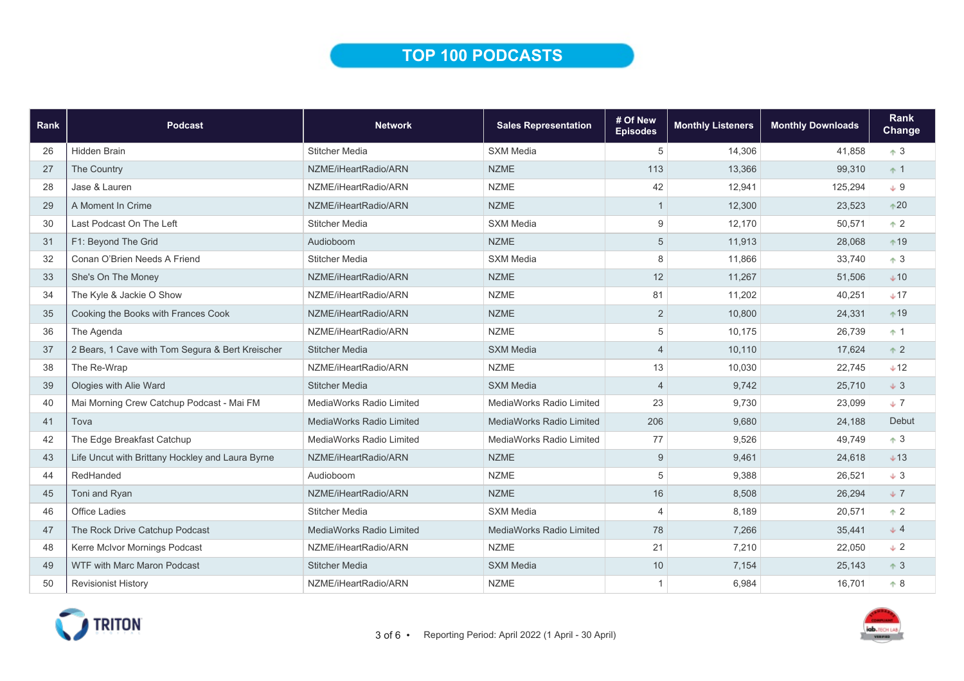## TOP 100 PODCASTS

| Rank | <b>Podcast</b>                                   | <b>Network</b>                  | <b>Sales Representation</b>     | # Of New<br><b>Episodes</b> | <b>Monthly Listeners</b> | <b>Monthly Downloads</b> | Rank<br>Change |
|------|--------------------------------------------------|---------------------------------|---------------------------------|-----------------------------|--------------------------|--------------------------|----------------|
| 26   | <b>Hidden Brain</b>                              | <b>Stitcher Media</b>           | SXM Media                       | 5                           | 14,306                   | 41,858                   | $+3$           |
| 27   | The Country                                      | NZME/iHeartRadio/ARN            | <b>NZME</b>                     | 113                         | 13,366                   | 99,310                   | $+1$           |
| 28   | Jase & Lauren                                    | NZME/iHeartRadio/ARN            | <b>NZME</b>                     | 42                          | 12,941                   | 125,294                  | $+9$           |
| 29   | A Moment In Crime                                | NZME/iHeartRadio/ARN            | <b>NZME</b>                     | $\mathbf{1}$                | 12,300                   | 23,523                   | $*20$          |
| 30   | Last Podcast On The Left                         | <b>Stitcher Media</b>           | <b>SXM Media</b>                | 9                           | 12.170                   | 50,571                   | $+2$           |
| 31   | F1: Beyond The Grid                              | Audioboom                       | <b>NZME</b>                     | 5                           | 11,913                   | 28,068                   | $*19$          |
| 32   | Conan O'Brien Needs A Friend                     | <b>Stitcher Media</b>           | <b>SXM Media</b>                | 8                           | 11,866                   | 33,740                   | $+3$           |
| 33   | She's On The Money                               | NZME/iHeartRadio/ARN            | <b>NZME</b>                     | 12                          | 11,267                   | 51,506                   | $+10$          |
| 34   | The Kyle & Jackie O Show                         | NZME/iHeartRadio/ARN            | <b>NZME</b>                     | 81                          | 11,202                   | 40,251                   | $+17$          |
| 35   | Cooking the Books with Frances Cook              | NZME/iHeartRadio/ARN            | <b>NZME</b>                     | $\overline{2}$              | 10,800                   | 24,331                   | $+19$          |
| 36   | The Agenda                                       | NZME/iHeartRadio/ARN            | <b>NZME</b>                     | 5                           | 10,175                   | 26,739                   | $+1$           |
| 37   | 2 Bears, 1 Cave with Tom Segura & Bert Kreischer | <b>Stitcher Media</b>           | <b>SXM Media</b>                | $\overline{4}$              | 10,110                   | 17.624                   | $+2$           |
| 38   | The Re-Wrap                                      | NZME/iHeartRadio/ARN            | <b>NZME</b>                     | 13                          | 10,030                   | 22,745                   | $+12$          |
| 39   | Ologies with Alie Ward                           | <b>Stitcher Media</b>           | <b>SXM Media</b>                | $\overline{4}$              | 9,742                    | 25,710                   | $+3$           |
| 40   | Mai Morning Crew Catchup Podcast - Mai FM        | MediaWorks Radio Limited        | MediaWorks Radio Limited        | 23                          | 9,730                    | 23,099                   | $+7$           |
| 41   | Tova                                             | <b>MediaWorks Radio Limited</b> | <b>MediaWorks Radio Limited</b> | 206                         | 9.680                    | 24,188                   | Debut          |
| 42   | The Edge Breakfast Catchup                       | MediaWorks Radio Limited        | MediaWorks Radio Limited        | 77                          | 9,526                    | 49,749                   | $+3$           |
| 43   | Life Uncut with Brittany Hockley and Laura Byrne | NZME/iHeartRadio/ARN            | <b>NZME</b>                     | 9                           | 9,461                    | 24,618                   | $+13$          |
| 44   | RedHanded                                        | Audioboom                       | <b>NZME</b>                     | 5                           | 9,388                    | 26,521                   | $+3$           |
| 45   | Toni and Ryan                                    | NZME/iHeartRadio/ARN            | <b>NZME</b>                     | 16                          | 8,508                    | 26,294                   | $+7$           |
| 46   | <b>Office Ladies</b>                             | <b>Stitcher Media</b>           | <b>SXM Media</b>                | $\overline{4}$              | 8,189                    | 20,571                   | $+2$           |
| 47   | The Rock Drive Catchup Podcast                   | <b>MediaWorks Radio Limited</b> | MediaWorks Radio Limited        | 78                          | 7,266                    | 35,441                   | $+4$           |
| 48   | Kerre McIvor Mornings Podcast                    | NZME/iHeartRadio/ARN            | <b>NZME</b>                     | 21                          | 7,210                    | 22,050                   | $+2$           |
| 49   | <b>WTF with Marc Maron Podcast</b>               | <b>Stitcher Media</b>           | <b>SXM Media</b>                | 10                          | 7,154                    | 25,143                   | $+3$           |
| 50   | <b>Revisionist History</b>                       | NZME/iHeartRadio/ARN            | <b>NZME</b>                     | $\mathbf{1}$                | 6,984                    | 16,701                   | $+8$           |

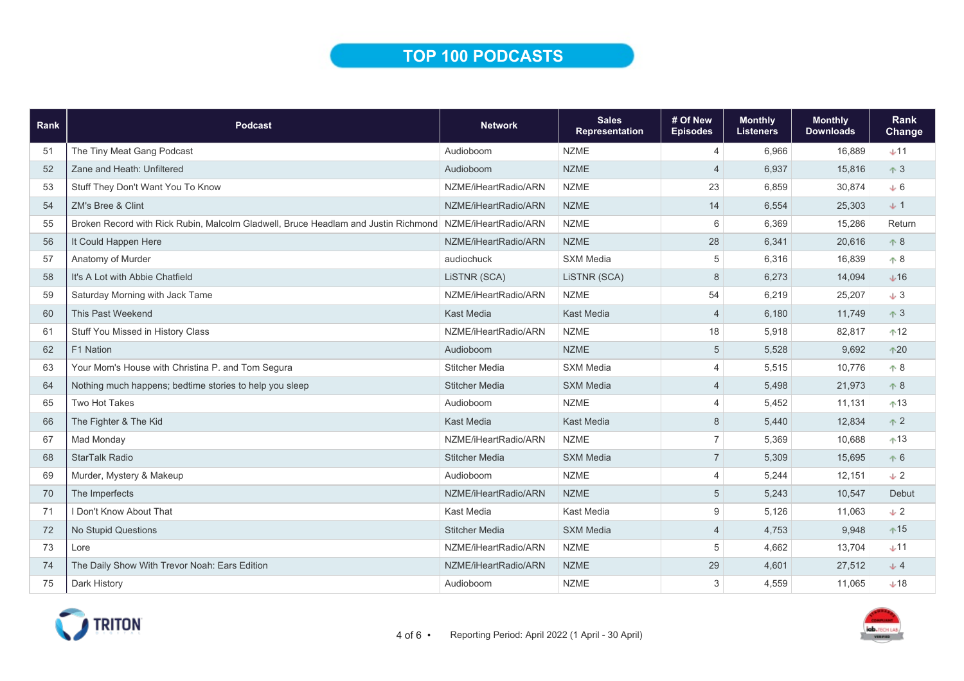# TOP 100 PODCASTS

| Rank | <b>Podcast</b>                                                                     | <b>Network</b>        | <b>Sales</b><br><b>Representation</b> | # Of New<br><b>Episodes</b> | <b>Monthly</b><br><b>Listeners</b> | <b>Monthly</b><br><b>Downloads</b> | <b>Rank</b><br><b>Change</b> |
|------|------------------------------------------------------------------------------------|-----------------------|---------------------------------------|-----------------------------|------------------------------------|------------------------------------|------------------------------|
| 51   | The Tiny Meat Gang Podcast                                                         | Audioboom             | <b>NZME</b>                           | $\overline{4}$              | 6,966                              | 16,889                             | $+11$                        |
| 52   | Zane and Heath: Unfiltered                                                         | Audioboom             | <b>NZME</b>                           | $\overline{4}$              | 6,937                              | 15,816                             | $\uparrow$ 3                 |
| 53   | Stuff They Don't Want You To Know                                                  | NZME/iHeartRadio/ARN  | <b>NZME</b>                           | 23                          | 6,859                              | 30,874                             | $+6$                         |
| 54   | ZM's Bree & Clint                                                                  | NZME/iHeartRadio/ARN  | <b>NZME</b>                           | 14                          | 6,554                              | 25,303                             | $+1$                         |
| 55   | Broken Record with Rick Rubin, Malcolm Gladwell, Bruce Headlam and Justin Richmond | NZME/iHeartRadio/ARN  | <b>NZME</b>                           | 6                           | 6,369                              | 15,286                             | Return                       |
| 56   | It Could Happen Here                                                               | NZME/iHeartRadio/ARN  | <b>NZME</b>                           | 28                          | 6,341                              | 20,616                             | $+8$                         |
| 57   | Anatomy of Murder                                                                  | audiochuck            | <b>SXM Media</b>                      | 5                           | 6,316                              | 16,839                             | $+8$                         |
| 58   | It's A Lot with Abbie Chatfield                                                    | LISTNR (SCA)          | LISTNR (SCA)                          | 8                           | 6,273                              | 14,094                             | $+16$                        |
| 59   | Saturday Morning with Jack Tame                                                    | NZME/iHeartRadio/ARN  | <b>NZME</b>                           | 54                          | 6,219                              | 25,207                             | $\downarrow$ 3               |
| 60   | This Past Weekend                                                                  | Kast Media            | <b>Kast Media</b>                     | $\overline{4}$              | 6,180                              | 11,749                             | $\uparrow$ 3                 |
| 61   | Stuff You Missed in History Class                                                  | NZME/iHeartRadio/ARN  | <b>NZME</b>                           | 18                          | 5,918                              | 82,817                             | $+12$                        |
| 62   | F1 Nation                                                                          | Audioboom             | <b>NZME</b>                           | 5                           | 5,528                              | 9,692                              | $+20$                        |
| 63   | Your Mom's House with Christina P. and Tom Segura                                  | <b>Stitcher Media</b> | <b>SXM Media</b>                      | $\overline{4}$              | 5,515                              | 10,776                             | $+8$                         |
| 64   | Nothing much happens; bedtime stories to help you sleep                            | <b>Stitcher Media</b> | <b>SXM Media</b>                      | $\overline{4}$              | 5,498                              | 21,973                             | $+8$                         |
| 65   | <b>Two Hot Takes</b>                                                               | Audioboom             | <b>NZME</b>                           | 4                           | 5,452                              | 11,131                             | $+13$                        |
| 66   | The Fighter & The Kid                                                              | <b>Kast Media</b>     | <b>Kast Media</b>                     | 8                           | 5,440                              | 12,834                             | $+2$                         |
| 67   | Mad Monday                                                                         | NZME/iHeartRadio/ARN  | <b>NZME</b>                           | $\overline{7}$              | 5,369                              | 10,688                             | $+13$                        |
| 68   | <b>StarTalk Radio</b>                                                              | <b>Stitcher Media</b> | <b>SXM Media</b>                      | $\overline{7}$              | 5,309                              | 15,695                             | $+6$                         |
| 69   | Murder, Mystery & Makeup                                                           | Audioboom             | <b>NZME</b>                           | $\overline{4}$              | 5,244                              | 12,151                             | $\pm 2$                      |
| 70   | The Imperfects                                                                     | NZME/iHeartRadio/ARN  | <b>NZME</b>                           | 5                           | 5,243                              | 10,547                             | Debut                        |
| 71   | Don't Know About That                                                              | Kast Media            | Kast Media                            | 9                           | 5,126                              | 11,063                             | $\downarrow$ 2               |
| 72   | No Stupid Questions                                                                | <b>Stitcher Media</b> | <b>SXM Media</b>                      | $\overline{4}$              | 4,753                              | 9,948                              | $+15$                        |
| 73   | Lore                                                                               | NZME/iHeartRadio/ARN  | <b>NZME</b>                           | 5                           | 4,662                              | 13,704                             | $+11$                        |
| 74   | The Daily Show With Trevor Noah: Ears Edition                                      | NZME/iHeartRadio/ARN  | <b>NZME</b>                           | 29                          | 4,601                              | 27,512                             | $+4$                         |
| 75   | <b>Dark History</b>                                                                | Audioboom             | <b>NZME</b>                           | 3                           | 4,559                              | 11.065                             | $+18$                        |

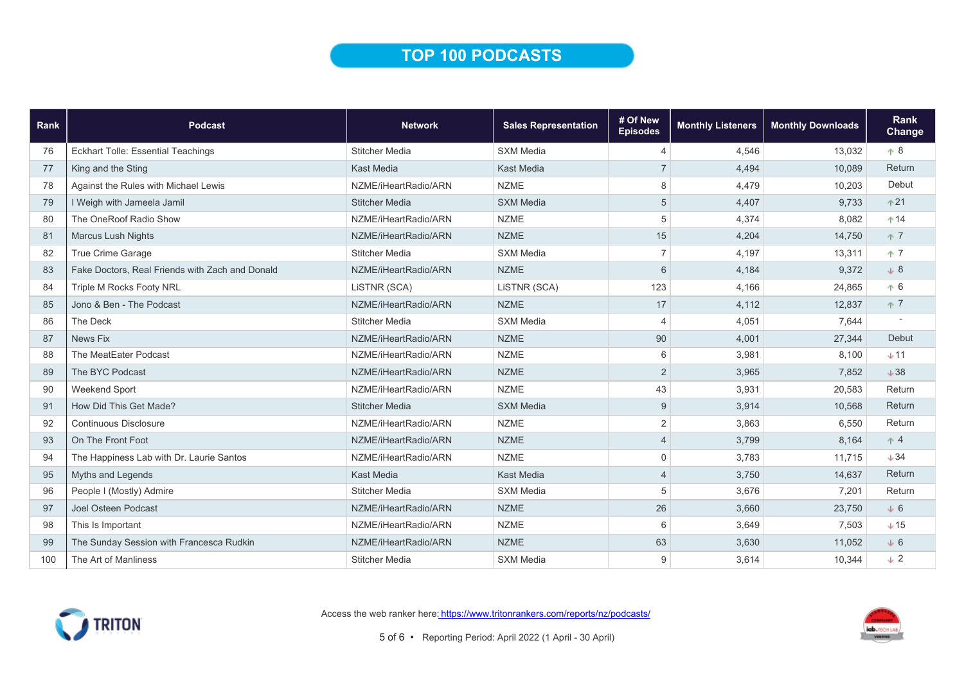## TOP 100 PODCASTS

| Rank | Podcast                                         | <b>Network</b>        | <b>Sales Representation</b> | # Of New<br><b>Episodes</b> | <b>Monthly Listeners</b> | <b>Monthly Downloads</b> | Rank<br>Change |
|------|-------------------------------------------------|-----------------------|-----------------------------|-----------------------------|--------------------------|--------------------------|----------------|
| 76   | <b>Eckhart Tolle: Essential Teachings</b>       | <b>Stitcher Media</b> | <b>SXM Media</b>            | $\overline{4}$              | 4.546                    | 13,032                   | $+8$           |
| 77   | King and the Sting                              | <b>Kast Media</b>     | <b>Kast Media</b>           | $\overline{7}$              | 4,494                    | 10,089                   | Return         |
| 78   | Against the Rules with Michael Lewis            | NZME/iHeartRadio/ARN  | <b>NZME</b>                 | 8                           | 4,479                    | 10,203                   | Debut          |
| 79   | I Weigh with Jameela Jamil                      | <b>Stitcher Media</b> | <b>SXM Media</b>            | $\sqrt{5}$                  | 4,407                    | 9,733                    | $+21$          |
| 80   | The OneRoof Radio Show                          | NZME/iHeartRadio/ARN  | <b>NZME</b>                 | $\,$ 5 $\,$                 | 4,374                    | 8,082                    | $+14$          |
| 81   | <b>Marcus Lush Nights</b>                       | NZME/iHeartRadio/ARN  | <b>NZME</b>                 | 15                          | 4,204                    | 14,750                   | 不 7            |
| 82   | True Crime Garage                               | <b>Stitcher Media</b> | <b>SXM Media</b>            | $\overline{7}$              | 4,197                    | 13,311                   | <b>17</b>      |
| 83   | Fake Doctors, Real Friends with Zach and Donald | NZME/iHeartRadio/ARN  | <b>NZME</b>                 | 6                           | 4,184                    | 9,372                    | $\downarrow$ 8 |
| 84   | <b>Triple M Rocks Footy NRL</b>                 | LISTNR (SCA)          | LISTNR (SCA)                | 123                         | 4.166                    | 24,865                   | $+6$           |
| 85   | Jono & Ben - The Podcast                        | NZME/iHeartRadio/ARN  | <b>NZME</b>                 | 17                          | 4,112                    | 12,837                   | $+7$           |
| 86   | The Deck                                        | <b>Stitcher Media</b> | <b>SXM Media</b>            | $\overline{4}$              | 4,051                    | 7,644                    |                |
| 87   | News Fix                                        | NZME/iHeartRadio/ARN  | <b>NZME</b>                 | 90                          | 4,001                    | 27,344                   | Debut          |
| 88   | The MeatEater Podcast                           | NZME/iHeartRadio/ARN  | <b>NZME</b>                 | 6                           | 3,981                    | 8,100                    | $+11$          |
| 89   | The BYC Podcast                                 | NZME/iHeartRadio/ARN  | <b>NZME</b>                 | $\sqrt{2}$                  | 3,965                    | 7,852                    | $+38$          |
| 90   | Weekend Sport                                   | NZME/iHeartRadio/ARN  | <b>NZME</b>                 | 43                          | 3,931                    | 20,583                   | Return         |
| 91   | How Did This Get Made?                          | <b>Stitcher Media</b> | <b>SXM Media</b>            | 9                           | 3,914                    | 10,568                   | Return         |
| 92   | Continuous Disclosure                           | NZME/iHeartRadio/ARN  | <b>NZME</b>                 | $\sqrt{2}$                  | 3,863                    | 6,550                    | Return         |
| 93   | On The Front Foot                               | NZME/iHeartRadio/ARN  | <b>NZME</b>                 | $\overline{4}$              | 3,799                    | 8,164                    | $+4$           |
| 94   | The Happiness Lab with Dr. Laurie Santos        | NZME/iHeartRadio/ARN  | <b>NZME</b>                 | $\mathbf 0$                 | 3.783                    | 11,715                   | $+34$          |
| 95   | Myths and Legends                               | <b>Kast Media</b>     | <b>Kast Media</b>           | $\overline{4}$              | 3,750                    | 14,637                   | Return         |
| 96   | People I (Mostly) Admire                        | <b>Stitcher Media</b> | <b>SXM Media</b>            | $\,$ 5 $\,$                 | 3,676                    | 7,201                    | Return         |
| 97   | <b>Joel Osteen Podcast</b>                      | NZME/iHeartRadio/ARN  | <b>NZME</b>                 | 26                          | 3,660                    | 23,750                   | $+6$           |
| 98   | This Is Important                               | NZME/iHeartRadio/ARN  | <b>NZME</b>                 | 6                           | 3,649                    | 7,503                    | $+15$          |
| 99   | The Sunday Session with Francesca Rudkin        | NZME/iHeartRadio/ARN  | <b>NZME</b>                 | 63                          | 3,630                    | 11,052                   | $\downarrow 6$ |
| 100  | The Art of Manliness                            | <b>Stitcher Media</b> | <b>SXM Media</b>            | 9                           | 3,614                    | 10,344                   | $\sqrt{2}$     |